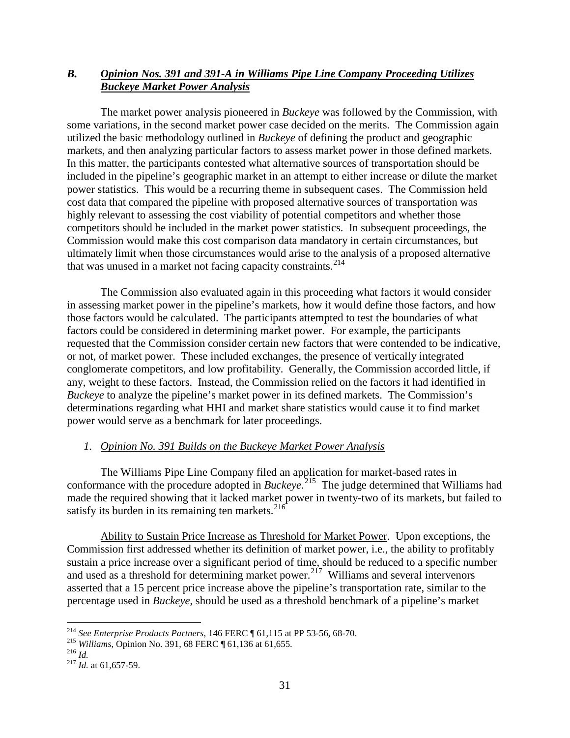## *B. Opinion Nos. 391 and 391-A in Williams Pipe Line Company Proceeding Utilizes Buckeye Market Power Analysis*

The market power analysis pioneered in *Buckeye* was followed by the Commission, with some variations, in the second market power case decided on the merits. The Commission again utilized the basic methodology outlined in *Buckeye* of defining the product and geographic markets, and then analyzing particular factors to assess market power in those defined markets. In this matter, the participants contested what alternative sources of transportation should be included in the pipeline's geographic market in an attempt to either increase or dilute the market power statistics. This would be a recurring theme in subsequent cases. The Commission held cost data that compared the pipeline with proposed alternative sources of transportation was highly relevant to assessing the cost viability of potential competitors and whether those competitors should be included in the market power statistics. In subsequent proceedings, the Commission would make this cost comparison data mandatory in certain circumstances, but ultimately limit when those circumstances would arise to the analysis of a proposed alternative that was unused in a market not facing capacity constraints.<sup>214</sup>

The Commission also evaluated again in this proceeding what factors it would consider in assessing market power in the pipeline's markets, how it would define those factors, and how those factors would be calculated. The participants attempted to test the boundaries of what factors could be considered in determining market power. For example, the participants requested that the Commission consider certain new factors that were contended to be indicative, or not, of market power. These included exchanges, the presence of vertically integrated conglomerate competitors, and low profitability. Generally, the Commission accorded little, if any, weight to these factors. Instead, the Commission relied on the factors it had identified in *Buckeye* to analyze the pipeline's market power in its defined markets. The Commission's determinations regarding what HHI and market share statistics would cause it to find market power would serve as a benchmark for later proceedings.

## *1. Opinion No. 391 Builds on the Buckeye Market Power Analysis*

The Williams Pipe Line Company filed an application for market-based rates in conformance with the procedure adopted in *Buckeye*. [215](#page-0-1) The judge determined that Williams had made the required showing that it lacked market power in twenty-two of its markets, but failed to satisfy its burden in its remaining ten markets.<sup>216</sup>

Ability to Sustain Price Increase as Threshold for Market Power. Upon exceptions, the Commission first addressed whether its definition of market power, i.e., the ability to profitably sustain a price increase over a significant period of time, should be reduced to a specific number and used as a threshold for determining market power.<sup>[217](#page-0-3)</sup> Williams and several intervenors asserted that a 15 percent price increase above the pipeline's transportation rate, similar to the percentage used in *Buckeye*, should be used as a threshold benchmark of a pipeline's market

<span id="page-0-2"></span>

<span id="page-0-1"></span><span id="page-0-0"></span><sup>&</sup>lt;sup>214</sup> *See Enterprise Products Partners*, 146 FERC ¶ 61,115 at PP 53-56, 68-70.<br><sup>215</sup> *Williams*, Opinion No. 391, 68 FERC ¶ 61,136 at 61,655.<br><sup>216</sup> *Id.* at 61,657-59.

<span id="page-0-3"></span>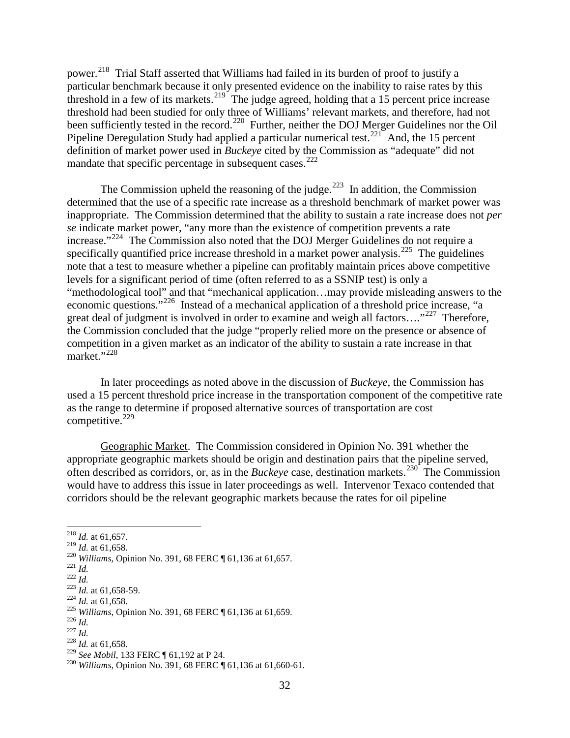power.<sup>218</sup> Trial Staff asserted that Williams had failed in its burden of proof to justify a particular benchmark because it only presented evidence on the inability to raise rates by this threshold in a few of its markets.<sup>[219](#page-1-1)</sup> The judge agreed, holding that a 15 percent price increase threshold had been studied for only three of Williams' relevant markets, and therefore, had not been sufficiently tested in the record.<sup>220</sup> Further, neither the DOJ Merger Guidelines nor the Oil Pipeline Deregulation Study had applied a particular numerical test. $^{221}$  $^{221}$  $^{221}$  And, the 15 percent definition of market power used in *Buckeye* cited by the Commission as "adequate" did not mandate that specific percentage in subsequent cases. $^{222}$ 

The Commission upheld the reasoning of the judge. $^{223}$  $^{223}$  $^{223}$  In addition, the Commission determined that the use of a specific rate increase as a threshold benchmark of market power was inappropriate. The Commission determined that the ability to sustain a rate increase does not *per se* indicate market power, "any more than the existence of competition prevents a rate increase."<sup>[224](#page-1-6)</sup> The Commission also noted that the DOJ Merger Guidelines do not require a specifically quantified price increase threshold in a market power analysis.<sup>[225](#page-1-7)</sup> The guidelines note that a test to measure whether a pipeline can profitably maintain prices above competitive levels for a significant period of time (often referred to as a SSNIP test) is only a "methodological tool" and that "mechanical application…may provide misleading answers to the economic questions."[226](#page-1-8) Instead of a mechanical application of a threshold price increase, "a great deal of judgment is involved in order to examine and weigh all factors...."<sup>[227](#page-1-9)</sup> Therefore, the Commission concluded that the judge "properly relied more on the presence or absence of competition in a given market as an indicator of the ability to sustain a rate increase in that market."<sup>[228](#page-1-10)</sup>

In later proceedings as noted above in the discussion of *Buckeye*, the Commission has used a 15 percent threshold price increase in the transportation component of the competitive rate as the range to determine if proposed alternative sources of transportation are cost competitive. [229](#page-1-11)

Geographic Market. The Commission considered in Opinion No. 391 whether the appropriate geographic markets should be origin and destination pairs that the pipeline served, often described as corridors, or, as in the *Buckeye* case, destination markets.<sup>[230](#page-1-12)</sup> The Commission would have to address this issue in later proceedings as well. Intervenor Texaco contended that corridors should be the relevant geographic markets because the rates for oil pipeline

<span id="page-1-8"></span><span id="page-1-7"></span>

<span id="page-1-9"></span>

<span id="page-1-1"></span><span id="page-1-0"></span><sup>&</sup>lt;sup>218</sup> *Id.* at 61,657.<br><sup>219</sup> *Id.* at 61,658.

<span id="page-1-6"></span><span id="page-1-5"></span>

<span id="page-1-4"></span><span id="page-1-3"></span><span id="page-1-2"></span><sup>&</sup>lt;sup>220</sup> Williams, Opinion No. 391, 68 FERC ¶ 61,136 at 61,657.<br><sup>221</sup> *Id.*<br><sup>222</sup> *Id.*<br><sup>223</sup> *Id.* at 61,658-59.<br><sup>224</sup> *Id.* at 61,658.<br><sup>225</sup> Williams, Opinion No. 391, 68 FERC ¶ 61,136 at 61,659.<br><sup>226</sup> *Id.*<br><sup>226</sup> *Id.*<br><sup>2</sup>

<span id="page-1-11"></span><span id="page-1-10"></span>

<span id="page-1-12"></span><sup>&</sup>lt;sup>230</sup> *Williams*, Opinion No. 391, 68 FERC ¶ 61,136 at 61,660-61.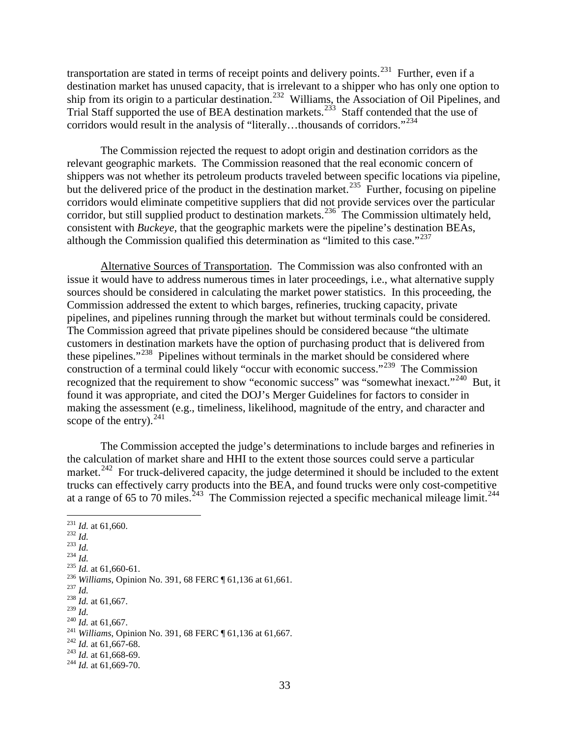transportation are stated in terms of receipt points and delivery points.<sup>[231](#page-2-0)</sup> Further, even if a destination market has unused capacity, that is irrelevant to a shipper who has only one option to ship from its origin to a particular destination.<sup>[232](#page-2-1)</sup> Williams, the Association of Oil Pipelines, and Trial Staff supported the use of BEA destination markets.<sup>233</sup> Staff contended that the use of corridors would result in the analysis of "literally...thousands of corridors."<sup>[234](#page-2-3)</sup>

The Commission rejected the request to adopt origin and destination corridors as the relevant geographic markets. The Commission reasoned that the real economic concern of shippers was not whether its petroleum products traveled between specific locations via pipeline, but the delivered price of the product in the destination market.<sup>235</sup> Further, focusing on pipeline corridors would eliminate competitive suppliers that did not provide services over the particular corridor, but still supplied product to destination markets.<sup>[236](#page-2-5)</sup> The Commission ultimately held, consistent with *Buckeye*, that the geographic markets were the pipeline's destination BEAs, although the Commission qualified this determination as "limited to this case."<sup>[237](#page-2-6)</sup>

Alternative Sources of Transportation. The Commission was also confronted with an issue it would have to address numerous times in later proceedings, i.e., what alternative supply sources should be considered in calculating the market power statistics. In this proceeding, the Commission addressed the extent to which barges, refineries, trucking capacity, private pipelines, and pipelines running through the market but without terminals could be considered. The Commission agreed that private pipelines should be considered because "the ultimate customers in destination markets have the option of purchasing product that is delivered from these pipelines."[238](#page-2-7) Pipelines without terminals in the market should be considered where construction of a terminal could likely "occur with economic success."[239](#page-2-8) The Commission recognized that the requirement to show "economic success" was "somewhat inexact."<sup>[240](#page-2-9)</sup> But, it found it was appropriate, and cited the DOJ's Merger Guidelines for factors to consider in making the assessment (e.g., timeliness, likelihood, magnitude of the entry, and character and scope of the entry).  $241$ 

The Commission accepted the judge's determinations to include barges and refineries in the calculation of market share and HHI to the extent those sources could serve a particular market.<sup>[242](#page-2-11)</sup> For truck-delivered capacity, the judge determined it should be included to the extent trucks can effectively carry products into the BEA, and found trucks were only cost-competitive at a range of 65 to 70 miles.<sup>243</sup> The Commission rejected a specific mechanical mileage limit.<sup>[244](#page-2-13)</sup>

<span id="page-2-13"></span><span id="page-2-12"></span><span id="page-2-11"></span><span id="page-2-10"></span><span id="page-2-9"></span><span id="page-2-8"></span><span id="page-2-7"></span><span id="page-2-6"></span><span id="page-2-5"></span><span id="page-2-4"></span><span id="page-2-3"></span><span id="page-2-2"></span><span id="page-2-1"></span><span id="page-2-0"></span><sup>231</sup> *Id.* at 61,660.<br><sup>232</sup> *Id.*<br><sup>235</sup> *Id.* at 61,660-61.<br><sup>236</sup> *Williams*, Opinion No. 391, 68 FERC ¶ 61,136 at 61,661.<br><sup>236</sup> *Id. at 61,667.*<br><sup>238</sup> *Id.* at 61,667.<br><sup>239</sup> *Id* <sup>240</sup> *Id.* at 61,667.<br><sup>241</sup> *Williams*, Opinion No. 391, 68 FERC ¶ 61,136 at 61,667.<br><sup>242</sup> *Id.* at 61,668-69.<br><sup>243</sup> *Id.* at 61,668-69.<br><sup>244</sup> *Id.* at 61,669-70.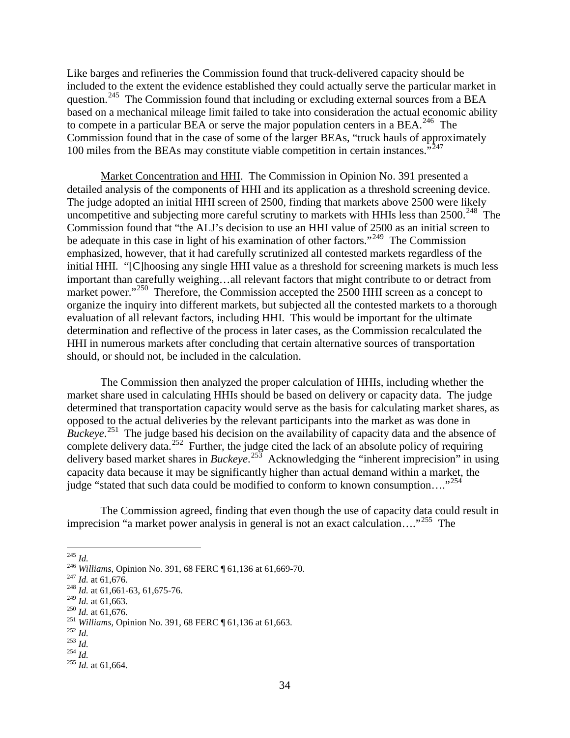Like barges and refineries the Commission found that truck-delivered capacity should be included to the extent the evidence established they could actually serve the particular market in question.<sup>[245](#page-3-0)</sup> The Commission found that including or excluding external sources from a BEA based on a mechanical mileage limit failed to take into consideration the actual economic ability to compete in a particular BEA or serve the major population centers in a BEA.<sup>[246](#page-3-1)</sup> The Commission found that in the case of some of the larger BEAs, "truck hauls of approximately 100 miles from the BEAs may constitute viable competition in certain instances."<sup>[247](#page-3-2)</sup>

Market Concentration and HHI. The Commission in Opinion No. 391 presented a detailed analysis of the components of HHI and its application as a threshold screening device. The judge adopted an initial HHI screen of 2500, finding that markets above 2500 were likely uncompetitive and subjecting more careful scrutiny to markets with HHIs less than  $2500$ .<sup>[248](#page-3-3)</sup> The Commission found that "the ALJ's decision to use an HHI value of 2500 as an initial screen to be adequate in this case in light of his examination of other factors."<sup>[249](#page-3-4)</sup> The Commission emphasized, however, that it had carefully scrutinized all contested markets regardless of the initial HHI. "[C]hoosing any single HHI value as a threshold for screening markets is much less important than carefully weighing…all relevant factors that might contribute to or detract from market power."<sup>[250](#page-3-5)</sup> Therefore, the Commission accepted the 2500 HHI screen as a concept to organize the inquiry into different markets, but subjected all the contested markets to a thorough evaluation of all relevant factors, including HHI. This would be important for the ultimate determination and reflective of the process in later cases, as the Commission recalculated the HHI in numerous markets after concluding that certain alternative sources of transportation should, or should not, be included in the calculation.

The Commission then analyzed the proper calculation of HHIs, including whether the market share used in calculating HHIs should be based on delivery or capacity data. The judge determined that transportation capacity would serve as the basis for calculating market shares, as opposed to the actual deliveries by the relevant participants into the market as was done in *Buckeye*. [251](#page-3-6) The judge based his decision on the availability of capacity data and the absence of complete delivery data.<sup>[252](#page-3-7)</sup> Further, the judge cited the lack of an absolute policy of requiring delivery based market shares in *Buckeye*. [253](#page-3-8) Acknowledging the "inherent imprecision" in using capacity data because it may be significantly higher than actual demand within a market, the judge "stated that such data could be modified to conform to known consumption...."<sup>[254](#page-3-9)</sup>

The Commission agreed, finding that even though the use of capacity data could result in imprecision "a market power analysis in general is not an exact calculation…."[255](#page-3-10) The

<span id="page-3-7"></span>

<span id="page-3-1"></span><span id="page-3-0"></span><sup>&</sup>lt;sup>245</sup> *Id.* <sup>246</sup> *Williams*, Opinion No. 391, 68 FERC ¶ 61,136 at 61,669-70.<br><sup>247</sup> *Id.* at 61,676.<br><sup>248</sup> *Id.* at 61,661-63, 61,675-76.<br><sup>249</sup> *Id.* at 61,663.

<span id="page-3-2"></span>

<span id="page-3-3"></span>

<span id="page-3-6"></span><span id="page-3-5"></span><span id="page-3-4"></span><sup>&</sup>lt;sup>250</sup> *Id.* at 61,676.<br>
<sup>251</sup> *Williams*, Opinion No. 391, 68 FERC ¶ 61,136 at 61,663.<br>
<sup>252</sup> *Id.*<br>
<sup>254</sup> *Id.* 255 *Id.* at 61,664.

<span id="page-3-9"></span><span id="page-3-8"></span>

<span id="page-3-10"></span>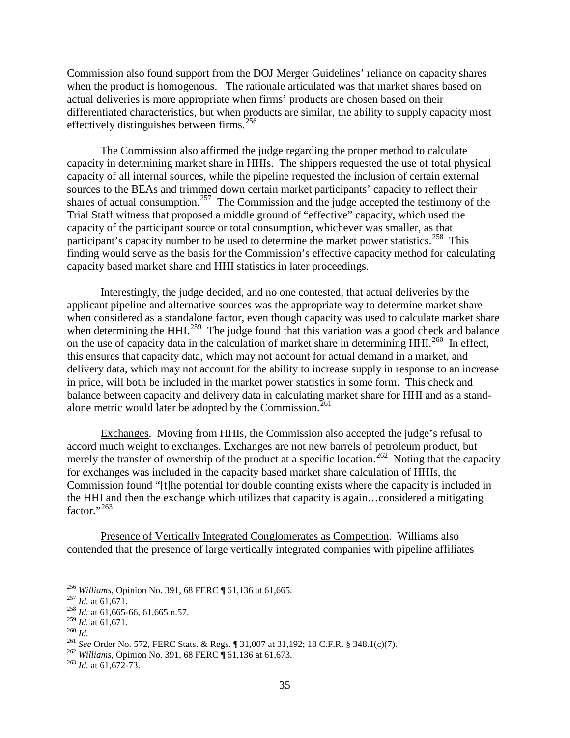Commission also found support from the DOJ Merger Guidelines' reliance on capacity shares when the product is homogenous. The rationale articulated was that market shares based on actual deliveries is more appropriate when firms' products are chosen based on their differentiated characteristics, but when products are similar, the ability to supply capacity most effectively distinguishes between firms.<sup>[256](#page-4-0)</sup>

The Commission also affirmed the judge regarding the proper method to calculate capacity in determining market share in HHIs. The shippers requested the use of total physical capacity of all internal sources, while the pipeline requested the inclusion of certain external sources to the BEAs and trimmed down certain market participants' capacity to reflect their shares of actual consumption.<sup>[257](#page-4-1)</sup> The Commission and the judge accepted the testimony of the Trial Staff witness that proposed a middle ground of "effective" capacity, which used the capacity of the participant source or total consumption, whichever was smaller, as that participant's capacity number to be used to determine the market power statistics.<sup>258</sup> This finding would serve as the basis for the Commission's effective capacity method for calculating capacity based market share and HHI statistics in later proceedings.

Interestingly, the judge decided, and no one contested, that actual deliveries by the applicant pipeline and alternative sources was the appropriate way to determine market share when considered as a standalone factor, even though capacity was used to calculate market share when determining the HHI.<sup>259</sup> The judge found that this variation was a good check and balance on the use of capacity data in the calculation of market share in determining  $HHI<sup>260</sup>$  $HHI<sup>260</sup>$  $HHI<sup>260</sup>$  In effect, this ensures that capacity data, which may not account for actual demand in a market, and delivery data, which may not account for the ability to increase supply in response to an increase in price, will both be included in the market power statistics in some form. This check and balance between capacity and delivery data in calculating market share for HHI and as a stand-alone metric would later be adopted by the Commission.<sup>[261](#page-4-5)</sup>

Exchanges. Moving from HHIs, the Commission also accepted the judge's refusal to accord much weight to exchanges. Exchanges are not new barrels of petroleum product, but merely the transfer of ownership of the product at a specific location.<sup>262</sup> Noting that the capacity for exchanges was included in the capacity based market share calculation of HHIs, the Commission found "[t]he potential for double counting exists where the capacity is included in the HHI and then the exchange which utilizes that capacity is again…considered a mitigating factor." $^{3263}$  $^{3263}$  $^{3263}$ 

Presence of Vertically Integrated Conglomerates as Competition. Williams also contended that the presence of large vertically integrated companies with pipeline affiliates

<span id="page-4-1"></span><span id="page-4-0"></span><sup>&</sup>lt;sup>256</sup> *Williams*, Opinion No. 391, 68 FERC ¶ 61,136 at 61,665.<br><sup>257</sup> *Id.* at 61,6671.<br><sup>258</sup> *Id.* at 61,665-66, 61,665 n.57.<br><sup>259</sup> *Id.* at 61,671.

<span id="page-4-2"></span>

<span id="page-4-5"></span>

<span id="page-4-4"></span><span id="page-4-3"></span><sup>&</sup>lt;sup>260</sup> *Id.*<br><sup>261</sup> *See* Order No. 572, FERC Stats. & Regs. ¶ 31,007 at 31,192; 18 C.F.R. § 348.1(c)(7).<br><sup>262</sup> *Williams*, Opinion No. 391, 68 FERC ¶ 61,136 at 61,673.<br><sup>263</sup> *Id.* at 61,672-73.

<span id="page-4-6"></span>

<span id="page-4-7"></span>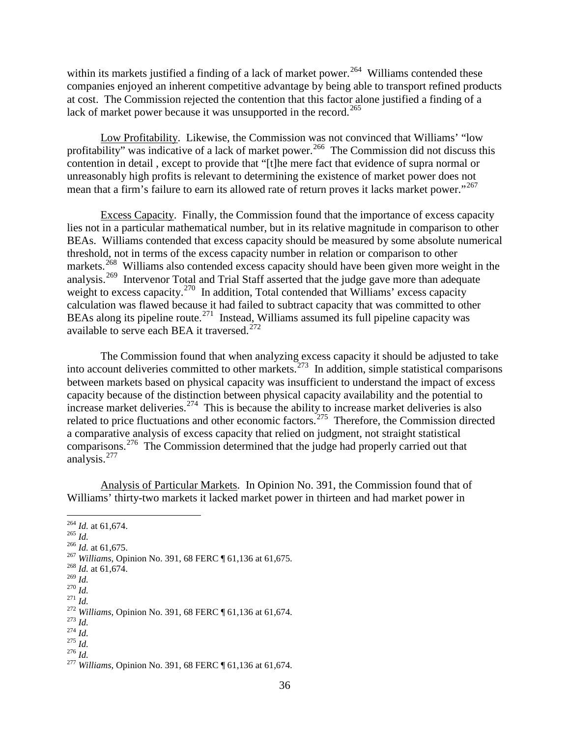within its markets justified a finding of a lack of market power.<sup>264</sup> Williams contended these companies enjoyed an inherent competitive advantage by being able to transport refined products at cost. The Commission rejected the contention that this factor alone justified a finding of a lack of market power because it was unsupported in the record.<sup>[265](#page-5-1)</sup>

Low Profitability. Likewise, the Commission was not convinced that Williams' "low profitability" was indicative of a lack of market power.<sup>266</sup> The Commission did not discuss this contention in detail , except to provide that "[t]he mere fact that evidence of supra normal or unreasonably high profits is relevant to determining the existence of market power does not mean that a firm's failure to earn its allowed rate of return proves it lacks market power."<sup>[267](#page-5-3)</sup>

Excess Capacity. Finally, the Commission found that the importance of excess capacity lies not in a particular mathematical number, but in its relative magnitude in comparison to other BEAs. Williams contended that excess capacity should be measured by some absolute numerical threshold, not in terms of the excess capacity number in relation or comparison to other markets.<sup>268</sup> Williams also contended excess capacity should have been given more weight in the analysis.<sup>[269](#page-5-5)</sup> Intervenor Total and Trial Staff asserted that the judge gave more than adequate weight to excess capacity.<sup>[270](#page-5-6)</sup> In addition, Total contended that Williams' excess capacity calculation was flawed because it had failed to subtract capacity that was committed to other BEAs along its pipeline route.<sup>271</sup> Instead, Williams assumed its full pipeline capacity was available to serve each BEA it traversed.<sup>[272](#page-5-8)</sup>

The Commission found that when analyzing excess capacity it should be adjusted to take into account deliveries committed to other markets.<sup>273</sup> In addition, simple statistical comparisons between markets based on physical capacity was insufficient to understand the impact of excess capacity because of the distinction between physical capacity availability and the potential to increase market deliveries.<sup>[274](#page-5-10)</sup> This is because the ability to increase market deliveries is also related to price fluctuations and other economic factors.<sup>275</sup> Therefore, the Commission directed a comparative analysis of excess capacity that relied on judgment, not straight statistical comparisons.<sup>[276](#page-5-12)</sup> The Commission determined that the judge had properly carried out that analysis. [277](#page-5-13)

Analysis of Particular Markets. In Opinion No. 391, the Commission found that of Williams' thirty-two markets it lacked market power in thirteen and had market power in

<span id="page-5-8"></span>

<span id="page-5-10"></span><span id="page-5-9"></span>

<span id="page-5-3"></span><span id="page-5-2"></span>

<span id="page-5-1"></span><span id="page-5-0"></span><sup>&</sup>lt;sup>264</sup> *Id.* at 61,674.<br><sup>266</sup> *Id.* at 61,675.<br><sup>267</sup> *Williams*, Opinion No. 391, 68 FERC ¶ 61,136 at 61,675.<br><sup>268</sup> *Id.* at 61,674.<br><sup>269</sup> *Id* 

<span id="page-5-7"></span><span id="page-5-6"></span><span id="page-5-5"></span><span id="page-5-4"></span><sup>&</sup>lt;sup>270</sup> *Id.*<br>
<sup>271</sup> *Id.*<br>
<sup>272</sup> Williams, Opinion No. 391, 68 FERC ¶ 61,136 at 61,674.<br>
<sup>273</sup> *Id.*<br>
<sup>275</sup> *Id.*<br>
<sup>275</sup> *Id.*<br>
<sup>276</sup> *Id.*<br>
<sup>276</sup> *Id.*<br>
<sup>276</sup> *Id.*<br>
<sup>276</sup> *Id.*<br>
<sup>276</sup> *Id.*<br>
<sup>276</sup> *Id.* 

<span id="page-5-11"></span>

<span id="page-5-13"></span><span id="page-5-12"></span>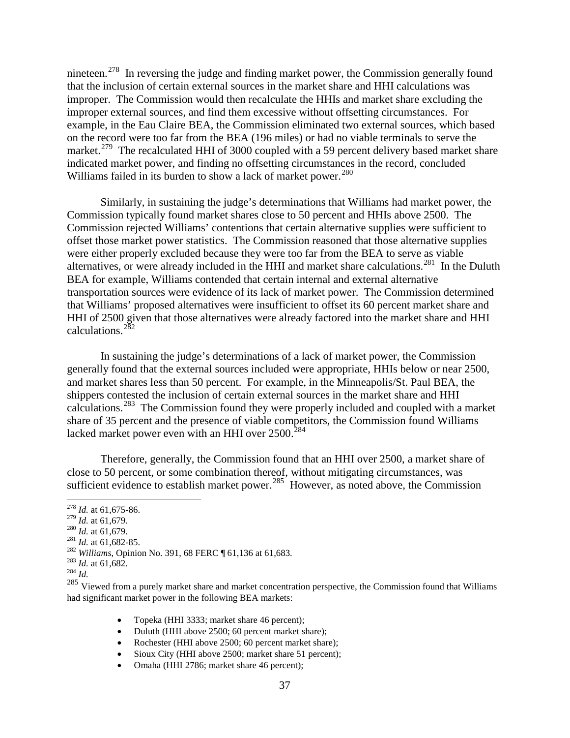nineteen.<sup>[278](#page-6-0)</sup> In reversing the judge and finding market power, the Commission generally found that the inclusion of certain external sources in the market share and HHI calculations was improper. The Commission would then recalculate the HHIs and market share excluding the improper external sources, and find them excessive without offsetting circumstances. For example, in the Eau Claire BEA, the Commission eliminated two external sources, which based on the record were too far from the BEA (196 miles) or had no viable terminals to serve the market.<sup>[279](#page-6-1)</sup> The recalculated HHI of 3000 coupled with a 59 percent delivery based market share indicated market power, and finding no offsetting circumstances in the record, concluded Williams failed in its burden to show a lack of market power.<sup>[280](#page-6-2)</sup>

Similarly, in sustaining the judge's determinations that Williams had market power, the Commission typically found market shares close to 50 percent and HHIs above 2500. The Commission rejected Williams' contentions that certain alternative supplies were sufficient to offset those market power statistics. The Commission reasoned that those alternative supplies were either properly excluded because they were too far from the BEA to serve as viable alternatives, or were already included in the HHI and market share calculations.<sup>281</sup> In the Duluth BEA for example, Williams contended that certain internal and external alternative transportation sources were evidence of its lack of market power. The Commission determined that Williams' proposed alternatives were insufficient to offset its 60 percent market share and HHI of 2500 given that those alternatives were already factored into the market share and HHI calculations.[282](#page-6-4)

In sustaining the judge's determinations of a lack of market power, the Commission generally found that the external sources included were appropriate, HHIs below or near 2500, and market shares less than 50 percent. For example, in the Minneapolis/St. Paul BEA, the shippers contested the inclusion of certain external sources in the market share and HHI calculations.[283](#page-6-5) The Commission found they were properly included and coupled with a market share of 35 percent and the presence of viable competitors, the Commission found Williams lacked market power even with an HHI over 2500.<sup>[284](#page-6-6)</sup>

Therefore, generally, the Commission found that an HHI over 2500, a market share of close to 50 percent, or some combination thereof, without mitigating circumstances, was sufficient evidence to establish market power.<sup>[285](#page-6-7)</sup> However, as noted above, the Commission

- 
- 
- <span id="page-6-4"></span>

- Topeka (HHI 3333; market share 46 percent);
- Duluth (HHI above 2500; 60 percent market share);
- Rochester (HHI above 2500; 60 percent market share);
- Sioux City (HHI above 2500; market share 51 percent);
- Omaha (HHI 2786; market share 46 percent);

<span id="page-6-0"></span><sup>&</sup>lt;sup>278</sup> *Id.* at 61,675-86.<br><sup>279</sup> *Id.* at 61,679.

<span id="page-6-3"></span><span id="page-6-2"></span><span id="page-6-1"></span><sup>&</sup>lt;sup>280</sup> *Id.* at 61,679.<br><sup>281</sup> *Id.* at 61,682-85.<br><sup>282</sup> *Williams*, Opinion No. 391, 68 FERC ¶ 61,136 at 61,683.<br><sup>283</sup> *Id.* at 61,682.<br><sup>284</sup> *Id* 

<span id="page-6-5"></span>

<span id="page-6-7"></span><span id="page-6-6"></span><sup>&</sup>lt;sup>285</sup> Viewed from a purely market share and market concentration perspective, the Commission found that Williams had significant market power in the following BEA markets: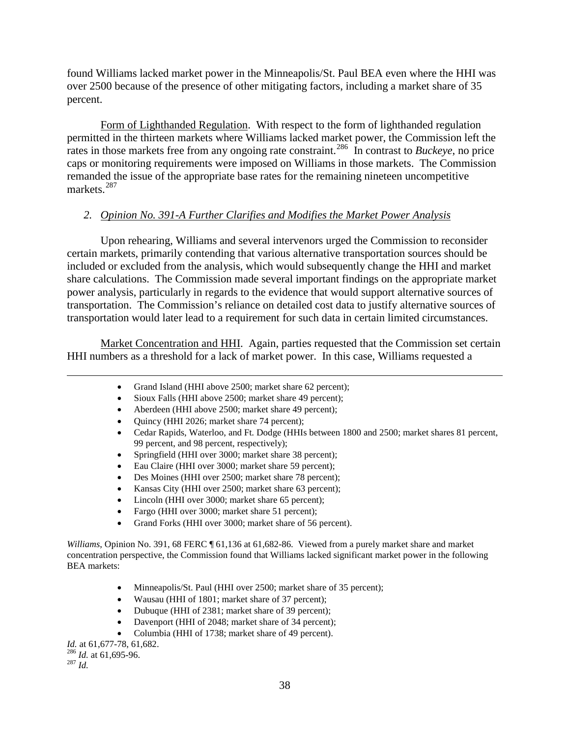found Williams lacked market power in the Minneapolis/St. Paul BEA even where the HHI was over 2500 because of the presence of other mitigating factors, including a market share of 35 percent.

Form of Lighthanded Regulation. With respect to the form of lighthanded regulation permitted in the thirteen markets where Williams lacked market power, the Commission left the rates in those markets free from any ongoing rate constraint.<sup>[286](#page-7-0)</sup> In contrast to *Buckeye*, no price caps or monitoring requirements were imposed on Williams in those markets. The Commission remanded the issue of the appropriate base rates for the remaining nineteen uncompetitive markets.<sup>[287](#page-7-1)</sup>

## *2. Opinion No. 391-A Further Clarifies and Modifies the Market Power Analysis*

Upon rehearing, Williams and several intervenors urged the Commission to reconsider certain markets, primarily contending that various alternative transportation sources should be included or excluded from the analysis, which would subsequently change the HHI and market share calculations. The Commission made several important findings on the appropriate market power analysis, particularly in regards to the evidence that would support alternative sources of transportation. The Commission's reliance on detailed cost data to justify alternative sources of transportation would later lead to a requirement for such data in certain limited circumstances.

Market Concentration and HHI. Again, parties requested that the Commission set certain HHI numbers as a threshold for a lack of market power. In this case, Williams requested a

- Grand Island (HHI above 2500; market share 62 percent);
- Sioux Falls (HHI above 2500; market share 49 percent);
- Aberdeen (HHI above 2500; market share 49 percent);
- Quincy (HHI 2026; market share 74 percent);
- Cedar Rapids, Waterloo, and Ft. Dodge (HHIs between 1800 and 2500; market shares 81 percent, 99 percent, and 98 percent, respectively);
- Springfield (HHI over 3000; market share 38 percent);
- Eau Claire (HHI over 3000; market share 59 percent);
- Des Moines (HHI over 2500; market share 78 percent);
- Kansas City (HHI over 2500; market share 63 percent);
- Lincoln (HHI over 3000; market share 65 percent);
- Fargo (HHI over 3000; market share 51 percent);
- Grand Forks (HHI over 3000; market share of 56 percent).

*Williams*, Opinion No. 391, 68 FERC ¶ 61,136 at 61,682-86. Viewed from a purely market share and market concentration perspective, the Commission found that Williams lacked significant market power in the following BEA markets:

- Minneapolis/St. Paul (HHI over 2500; market share of 35 percent);
- Wausau (HHI of 1801; market share of 37 percent);
- Dubuque (HHI of 2381; market share of 39 percent);
- Davenport (HHI of 2048; market share of 34 percent);
- Columbia (HHI of 1738; market share of 49 percent).  $Id.$  at 61,677-78, 61,682.

<span id="page-7-1"></span><span id="page-7-0"></span><sup>286</sup> *Id.* at 61,695-96. <sup>287</sup> *Id.* 

 $\overline{a}$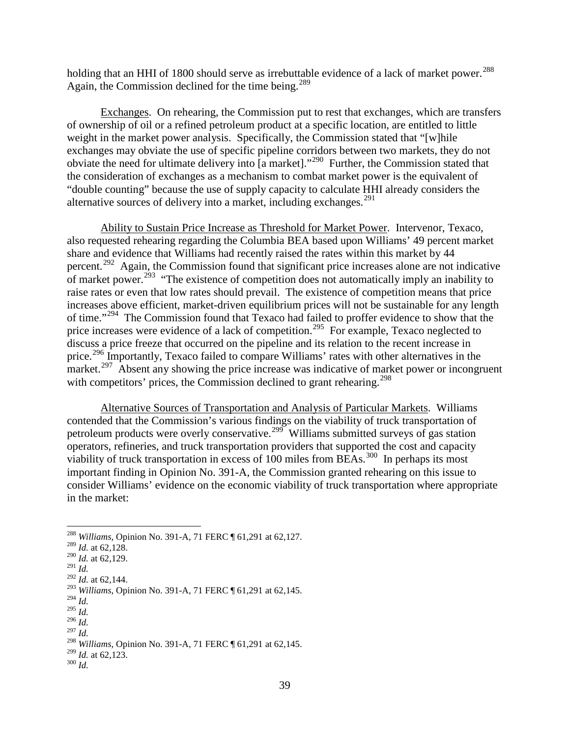holding that an HHI of 1800 should serve as irrebuttable evidence of a lack of market power.<sup>[288](#page-8-0)</sup> Again, the Commission declined for the time being.<sup>289</sup>

Exchanges. On rehearing, the Commission put to rest that exchanges, which are transfers of ownership of oil or a refined petroleum product at a specific location, are entitled to little weight in the market power analysis. Specifically, the Commission stated that "[w]hile exchanges may obviate the use of specific pipeline corridors between two markets, they do not obviate the need for ultimate delivery into [a market]."[290](#page-8-2) Further, the Commission stated that the consideration of exchanges as a mechanism to combat market power is the equivalent of "double counting" because the use of supply capacity to calculate HHI already considers the alternative sources of delivery into a market, including exchanges. [291](#page-8-3)

Ability to Sustain Price Increase as Threshold for Market Power. Intervenor, Texaco, also requested rehearing regarding the Columbia BEA based upon Williams' 49 percent market share and evidence that Williams had recently raised the rates within this market by 44 percent.[292](#page-8-4) Again, the Commission found that significant price increases alone are not indicative of market power.<sup>[293](#page-8-5)</sup> "The existence of competition does not automatically imply an inability to raise rates or even that low rates should prevail. The existence of competition means that price increases above efficient, market-driven equilibrium prices will not be sustainable for any length of time."<sup>[294](#page-8-6)</sup> The Commission found that Texaco had failed to proffer evidence to show that the price increases were evidence of a lack of competition.<sup>[295](#page-8-7)</sup> For example, Texaco neglected to discuss a price freeze that occurred on the pipeline and its relation to the recent increase in price.<sup>[296](#page-8-8)</sup> Importantly, Texaco failed to compare Williams' rates with other alternatives in the market.<sup>[297](#page-8-9)</sup> Absent any showing the price increase was indicative of market power or incongruent with competitors' prices, the Commission declined to grant rehearing.<sup>[298](#page-8-10)</sup>

Alternative Sources of Transportation and Analysis of Particular Markets. Williams contended that the Commission's various findings on the viability of truck transportation of petroleum products were overly conservative.<sup>[299](#page-8-11)</sup> Williams submitted surveys of gas station operators, refineries, and truck transportation providers that supported the cost and capacity viability of truck transportation in excess of 100 miles from BEAs.<sup>300</sup> In perhaps its most important finding in Opinion No. 391-A, the Commission granted rehearing on this issue to consider Williams' evidence on the economic viability of truck transportation where appropriate in the market:

<sup>294</sup> *Id.*

<span id="page-8-9"></span><span id="page-8-8"></span><sup>297</sup> *Id.*

<span id="page-8-12"></span>

<span id="page-8-1"></span><span id="page-8-0"></span><sup>288</sup> *Williams*, Opinion No. 391-A, 71 FERC ¶ 61,291 at 62,127. <sup>289</sup> *Id.* at 62,128.

<sup>290</sup> *Id.* at 62,129.

<span id="page-8-3"></span><span id="page-8-2"></span><sup>291</sup> *Id.*

<span id="page-8-4"></span><sup>&</sup>lt;sup>292</sup> *Id.* at 62,144.

<span id="page-8-5"></span><sup>293</sup> *Williams*, Opinion No. 391-A, 71 FERC ¶ 61,291 at 62,145.

<span id="page-8-7"></span><span id="page-8-6"></span><sup>295</sup> *Id.* <sup>296</sup> *Id.*

<span id="page-8-11"></span><span id="page-8-10"></span><sup>&</sup>lt;sup>298</sup> *Williams*, Opinion No. 391-A, 71 FERC ¶ 61,291 at 62,145.<br><sup>299</sup> *Id.* at 62,123.<br><sup>300</sup> *Id.*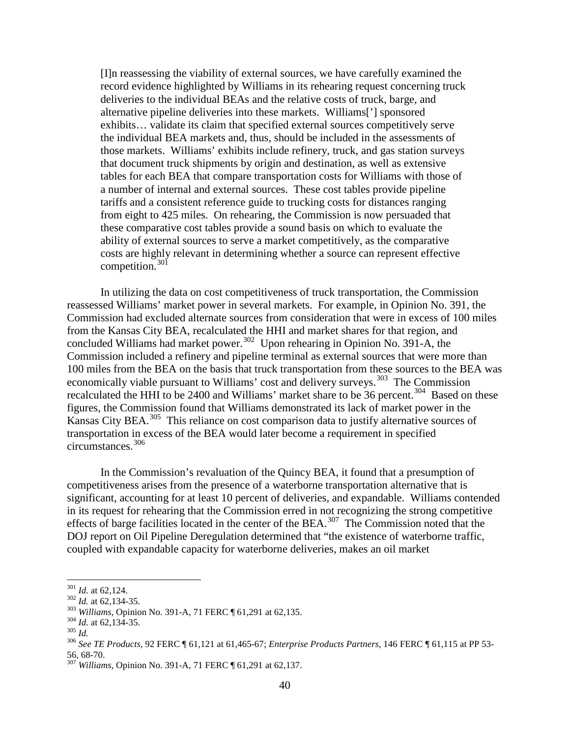[I]n reassessing the viability of external sources, we have carefully examined the record evidence highlighted by Williams in its rehearing request concerning truck deliveries to the individual BEAs and the relative costs of truck, barge, and alternative pipeline deliveries into these markets. Williams['] sponsored exhibits… validate its claim that specified external sources competitively serve the individual BEA markets and, thus, should be included in the assessments of those markets. Williams' exhibits include refinery, truck, and gas station surveys that document truck shipments by origin and destination, as well as extensive tables for each BEA that compare transportation costs for Williams with those of a number of internal and external sources. These cost tables provide pipeline tariffs and a consistent reference guide to trucking costs for distances ranging from eight to 425 miles. On rehearing, the Commission is now persuaded that these comparative cost tables provide a sound basis on which to evaluate the ability of external sources to serve a market competitively, as the comparative costs are highly relevant in determining whether a source can represent effective competition. $301$ 

In utilizing the data on cost competitiveness of truck transportation, the Commission reassessed Williams' market power in several markets. For example, in Opinion No. 391, the Commission had excluded alternate sources from consideration that were in excess of 100 miles from the Kansas City BEA, recalculated the HHI and market shares for that region, and concluded Williams had market power.<sup>302</sup> Upon rehearing in Opinion No. 391-A, the Commission included a refinery and pipeline terminal as external sources that were more than 100 miles from the BEA on the basis that truck transportation from these sources to the BEA was economically viable pursuant to Williams' cost and delivery surveys.<sup>303</sup> The Commission recalculated the HHI to be 2400 and Williams' market share to be 36 percent.<sup>[304](#page-9-3)</sup> Based on these figures, the Commission found that Williams demonstrated its lack of market power in the Kansas City BEA.[305](#page-9-4) This reliance on cost comparison data to justify alternative sources of transportation in excess of the BEA would later become a requirement in specified circumstances. [306](#page-9-5) 

In the Commission's revaluation of the Quincy BEA, it found that a presumption of competitiveness arises from the presence of a waterborne transportation alternative that is significant, accounting for at least 10 percent of deliveries, and expandable. Williams contended in its request for rehearing that the Commission erred in not recognizing the strong competitive effects of barge facilities located in the center of the BEA.<sup>[307](#page-9-6)</sup> The Commission noted that the DOJ report on Oil Pipeline Deregulation determined that "the existence of waterborne traffic, coupled with expandable capacity for waterborne deliveries, makes an oil market

<span id="page-9-1"></span>

<span id="page-9-2"></span>

<span id="page-9-3"></span>

<span id="page-9-5"></span><span id="page-9-4"></span>

<span id="page-9-0"></span><sup>&</sup>lt;sup>301</sup> *Id.* at 62,124.<br><sup>302</sup> *Id.* at 62,134-35.<br><sup>303</sup> *Williams*, Opinion No. 391-A, 71 FERC ¶ 61,291 at 62,135.<br><sup>304</sup> *Id.* at 62,134-35.<br><sup>304</sup> *Id.* at 62,134-35.<br><sup>306</sup> *See TE Products*, 92 FERC ¶ 61,121 at 61,465-67;

<span id="page-9-6"></span><sup>&</sup>lt;sup>307</sup> *Williams*, Opinion No. 391-A, 71 FERC ¶ 61,291 at 62,137.